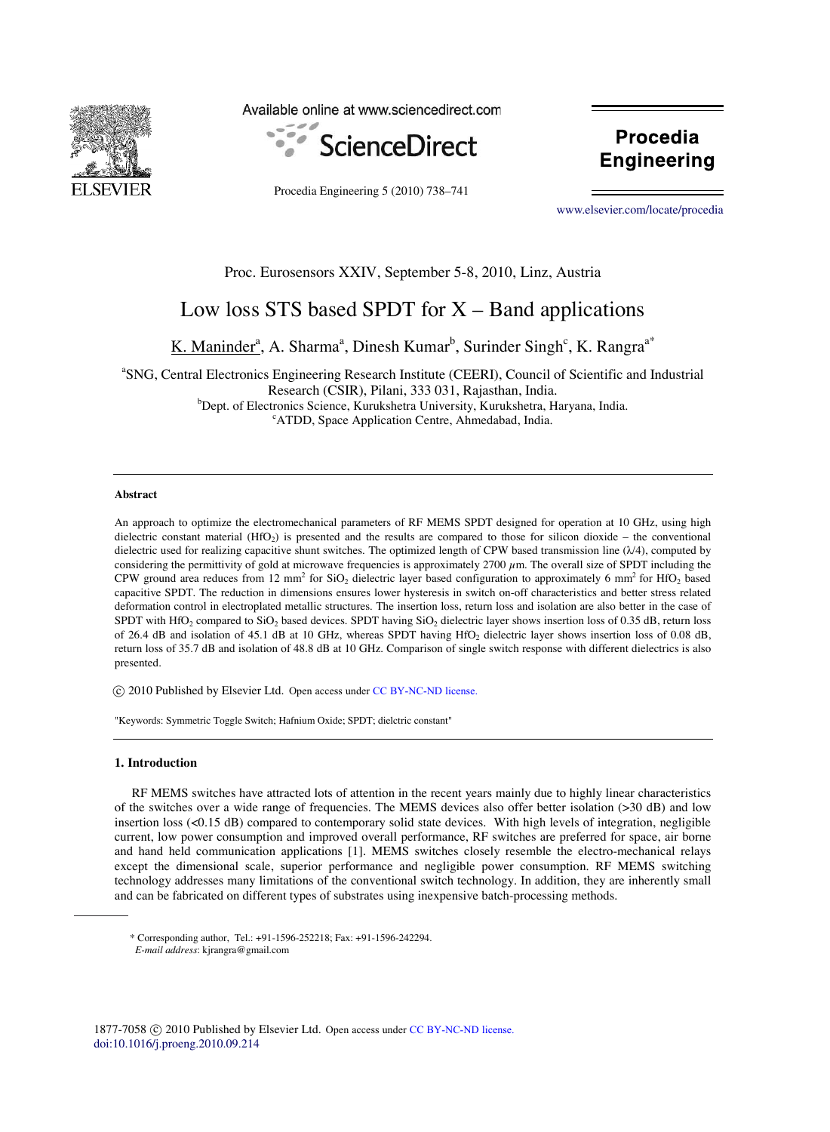

Available online at www.sciencedirect.com



Procedia Engineering 5 (2010) 738–741

**Procedia** Engineering

Engineering

[www.elsevier.com/locate/procedia](http://www.elsevier.com/locate/procedia)

# Proc. Eurosensors XXIV, September 5-8, 2010, Linz, Austria

# Low loss STS based SPDT for  $X -$ Band applications

K. Maninder<sup>a</sup>, A. Sharma<sup>a</sup>, Dinesh Kumar<sup>b</sup>, Surinder Singh<sup>c</sup>, K. Rangra<sup>a\*</sup>

<sup>a</sup>SNG, Central Electronics Engineering Research Institute (CEERI), Council of Scientific and Industrial Research (CSIR), Pilani, 333 031, Rajasthan, India. <sup>b</sup>Dept. of Electronics Science, Kurukshetra University, Kurukshetra, Haryana, India. <sup>c</sup>ATDD, Space Application Centre, Ahmedabad, India.

# **Abstract**

An approach to optimize the electromechanical parameters of RF MEMS SPDT designed for operation at 10 GHz, using high dielectric constant material (HfO<sup>2</sup> ) is presented and the results are compared to those for silicon dioxide – the conventional dielectric used for realizing capacitive shunt switches. The optimized length of CPW based transmission line (λ/4), computed by considering the permittivity of gold at microwave frequencies is approximately 2700 μm. The overall size of SPDT including the CPW ground area reduces from 12 mm<sup>2</sup> for SiO<sub>2</sub> dielectric layer based configuration to approximately 6 mm<sup>2</sup> for HfO<sub>2</sub> based capacitive SPDT. The reduction in dimensions ensures lower hysteresis in switch on-off characteristics and better stress related deformation control in electroplated metallic structures. The insertion loss, return loss and isolation are also better in the case of SPDT with HfO<sub>2</sub> compared to SiO<sub>2</sub> based devices. SPDT having SiO<sub>2</sub> dielectric layer shows insertion loss of 0.35 dB, return loss of 26.4 dB and isolation of 45.1 dB at 10 GHz, whereas SPDT having HfO<sub>2</sub> dielectric layer shows insertion loss of 0.08 dB, return loss of 35.7 dB and isolation of 48.8 dB at 10 GHz. Comparison of single switch response with different dielectrics is also presented.

© 2010 Published by Elsevier Ltd. Open access under CC BY-NC-ND license.

"Keywords: Symmetric Toggle Switch; Hafnium Oxide; SPDT; dielctric constant"

#### **1. Introduction**

RF MEMS switches have attracted lots of attention in the recent years mainly due to highly linear characteristics of the switches over a wide range of frequencies. The MEMS devices also offer better isolation (>30 dB) and low insertion loss (<0.15 dB) compared to contemporary solid state devices. With high levels of integration, negligible current, low power consumption and improved overall performance, RF switches are preferred for space, air borne and hand held communication applications [1]. MEMS switches closely resemble the electro-mechanical relays except the dimensional scale, superior performance and negligible power consumption. RF MEMS switching technology addresses many limitations of the conventional switch technology. In addition, they are inherently small and can be fabricated on different types of substrates using inexpensive batch-processing methods.

<sup>\*</sup> Corresponding author, Tel.: +91-1596-252218; Fax: +91-1596-242294.

*E-mail address*: kjrangra@gmail.com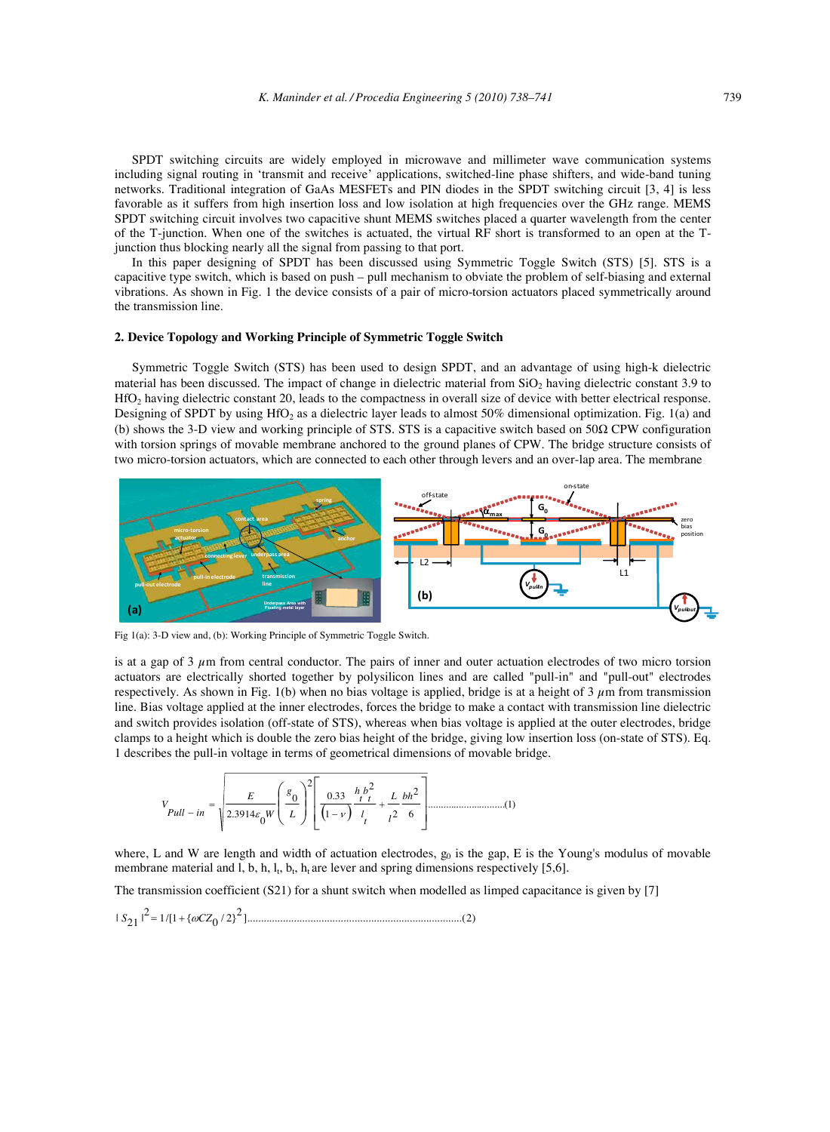SPDT switching circuits are widely employed in microwave and millimeter wave communication systems including signal routing in 'transmit and receive' applications, switched-line phase shifters, and wide-band tuning networks. Traditional integration of GaAs MESFETs and PIN diodes in the SPDT switching circuit [3, 4] is less favorable as it suffers from high insertion loss and low isolation at high frequencies over the GHz range. MEMS SPDT switching circuit involves two capacitive shunt MEMS switches placed a quarter wavelength from the center of the T-junction. When one of the switches is actuated, the virtual RF short is transformed to an open at the Tjunction thus blocking nearly all the signal from passing to that port.

In this paper designing of SPDT has been discussed using Symmetric Toggle Switch (STS) [5]. STS is a capacitive type switch, which is based on push – pull mechanism to obviate the problem of self-biasing and external vibrations. As shown in Fig. 1 the device consists of a pair of micro-torsion actuators placed symmetrically around the transmission line.

### **2. Device Topology and Working Principle of Symmetric Toggle Switch**

Symmetric Toggle Switch (STS) has been used to design SPDT, and an advantage of using high-k dielectric material has been discussed. The impact of change in dielectric material from  $SiO<sub>2</sub>$  having dielectric constant 3.9 to HfO<sub>2</sub> having dielectric constant 20, leads to the compactness in overall size of device with better electrical response. Designing of SPDT by using HfO<sub>2</sub> as a dielectric layer leads to almost 50% dimensional optimization. Fig. 1(a) and (b) shows the 3-D view and working principle of STS. STS is a capacitive switch based on 50Ω CPW configuration with torsion springs of movable membrane anchored to the ground planes of CPW. The bridge structure consists of two micro-torsion actuators, which are connected to each other through levers and an over-lap area. The membrane



Fig 1(a): 3-D view and, (b): Working Principle of Symmetric Toggle Switch.

is at a gap of  $3 \mu$ m from central conductor. The pairs of inner and outer actuation electrodes of two micro torsion actuators are electrically shorted together by polysilicon lines and are called "pull-in" and "pull-out" electrodes respectively. As shown in Fig. 1(b) when no bias voltage is applied, bridge is at a height of 3  $\mu$ m from transmission line. Bias voltage applied at the inner electrodes, forces the bridge to make a contact with transmission line dielectric and switch provides isolation (off-state of STS), whereas when bias voltage is applied at the outer electrodes, bridge clamps to a height which is double the zero bias height of the bridge, giving low insertion loss (on-state of STS). Eq. 1 describes the pull-in voltage in terms of geometrical dimensions of movable bridge.

( ) .............................. )1( 6 2 2 2 1 .0 33 2 0 0 .2 <sup>3914</sup> ⎥ ⎥ ⎦ ⎤ ⎢ ⎢ ⎣ ⎡ ⎟ ⎟ ⎠ ⎞ ⎜ ⎜ ⎝ ⎛ + − = − *bh l L t l t b t h L g W E Pull in V* ε ν

where, L and W are length and width of actuation electrodes,  $g_0$  is the gap, E is the Young's modulus of movable membrane material and l, b, h,  $l_t$ ,  $b_t$ ,  $h_t$  are lever and spring dimensions respectively [5,6].

The transmission coefficient (S21) for a shunt switch when modelled as limped capacitance is given by [7]

$$
|S_{21}|^2 = 1/[1 + {\omega C Z_0 / 2}^2] \dots
$$
 (2)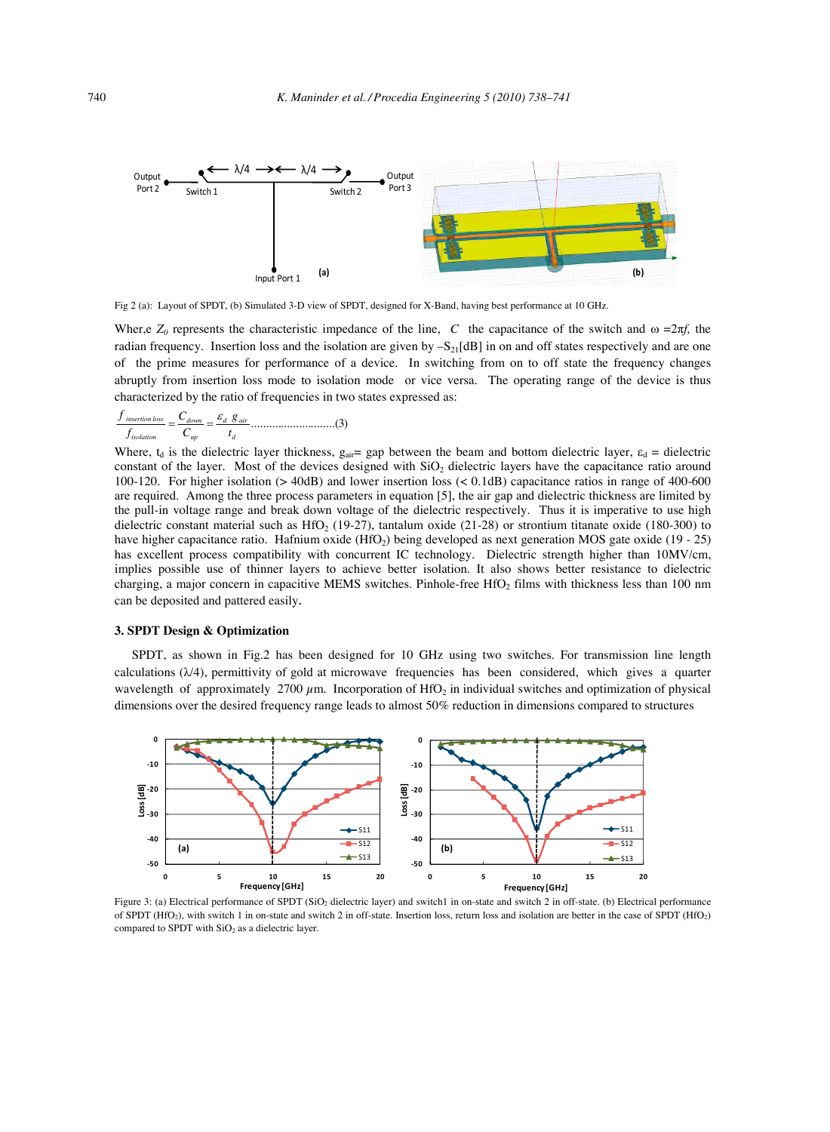

Fig 2 (a): Layout of SPDT, (b) Simulated 3-D view of SPDT, designed for X-Band, having best performance at 10 GHz.

Wher,e  $Z_0$  represents the characteristic impedance of the line, *C* the capacitance of the switch and  $\omega =2\pi f$ , the radian frequency. Insertion loss and the isolation are given by  $-S_{21}[dB]$  in on and off states respectively and are one of the prime measures for performance of a device. In switching from on to off state the frequency changes abruptly from insertion loss mode to isolation mode or vice versa. The operating range of the device is thus characterized by the ratio of frequencies in two states expressed as:

............................( )3 *d d air up down isolation insertion loss t g C C f f* <sup>ε</sup> = =

Where,  $t_d$  is the dielectric layer thickness,  $g_{air}$  gap between the beam and bottom dielectric layer,  $\varepsilon_d$  = dielectric constant of the layer. Most of the devices designed with  $SiO<sub>2</sub>$  dielectric layers have the capacitance ratio around 100-120. For higher isolation (> 40dB) and lower insertion loss (< 0.1dB) capacitance ratios in range of 400-600 are required. Among the three process parameters in equation [5], the air gap and dielectric thickness are limited by the pull-in voltage range and break down voltage of the dielectric respectively. Thus it is imperative to use high dielectric constant material such as HfO<sub>2</sub> (19-27), tantalum oxide (21-28) or strontium titanate oxide (180-300) to have higher capacitance ratio. Hafnium oxide (HfO<sub>2</sub>) being developed as next generation MOS gate oxide (19 - 25) has excellent process compatibility with concurrent IC technology. Dielectric strength higher than 10MV/cm, implies possible use of thinner layers to achieve better isolation. It also shows better resistance to dielectric charging, a major concern in capacitive MEMS switches. Pinhole-free HfO<sub>2</sub> films with thickness less than 100 nm can be deposited and pattered easily.

# **3. SPDT Design & Optimization**

SPDT, as shown in Fig.2 has been designed for 10 GHz using two switches. For transmission line length calculations  $(\lambda/4)$ , permittivity of gold at microwave frequencies has been considered, which gives a quarter wavelength of approximately 2700  $\mu$ m. Incorporation of HfO<sub>2</sub> in individual switches and optimization of physical dimensions over the desired frequency range leads to almost 50% reduction in dimensions compared to structures



Figure 3: (a) Electrical performance of SPDT (SiO2 dielectric layer) and switch1 in on-state and switch 2 in off-state. (b) Electrical performance of SPDT (HfO<sub>2</sub>), with switch 1 in on-state and switch 2 in off-state. Insertion loss, return loss and isolation are better in the case of SPDT (HfO<sub>2</sub>) compared to SPDT with  $SiO<sub>2</sub>$  as a dielectric layer.